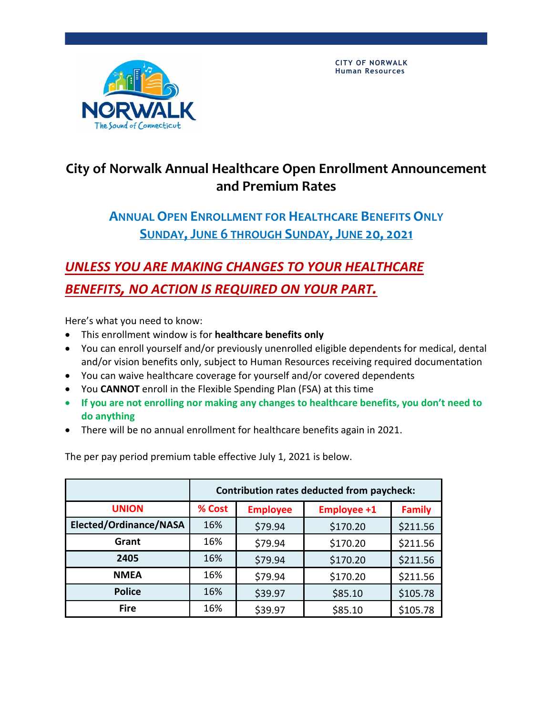

## **City of Norwalk Annual Healthcare Open Enrollment Announcement and Premium Rates**

## **ANNUAL OPEN ENROLLMENT FOR HEALTHCARE BENEFITS ONLY SUNDAY,JUNE 6 THROUGH SUNDAY,JUNE 20, 2021**

## *UNLESS YOU ARE MAKING CHANGES TO YOUR HEALTHCARE BENEFITS, NO ACTION IS REQUIRED ON YOUR PART.*

Here's what you need to know:

- This enrollment window is for **healthcare benefits only**
- You can enroll yourself and/or previously unenrolled eligible dependents for medical, dental and/or vision benefits only, subject to Human Resources receiving required documentation
- You can waive healthcare coverage for yourself and/or covered dependents
- You **CANNOT** enroll in the Flexible Spending Plan (FSA) at this time
- **If you are not enrolling nor making any changes to healthcare benefits, you don't need to do anything**
- There will be no annual enrollment for healthcare benefits again in 2021.

The per pay period premium table effective July 1, 2021 is below.

|                        | Contribution rates deducted from paycheck: |                 |                    |               |
|------------------------|--------------------------------------------|-----------------|--------------------|---------------|
| <b>UNION</b>           | % Cost                                     | <b>Employee</b> | <b>Employee +1</b> | <b>Family</b> |
| Elected/Ordinance/NASA | 16%                                        | \$79.94         | \$170.20           | \$211.56      |
| Grant                  | 16%                                        | \$79.94         | \$170.20           | \$211.56      |
| 2405                   | 16%                                        | \$79.94         | \$170.20           | \$211.56      |
| <b>NMEA</b>            | 16%                                        | \$79.94         | \$170.20           | \$211.56      |
| <b>Police</b>          | 16%                                        | \$39.97         | \$85.10            | \$105.78      |
| <b>Fire</b>            | 16%                                        | \$39.97         | \$85.10            | \$105.78      |